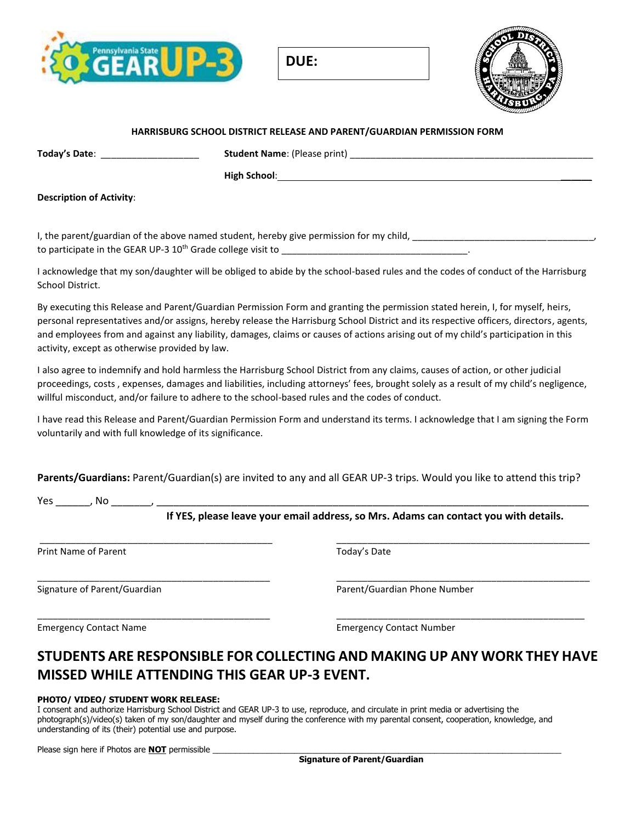

**DUE:** 



#### **HARRISBURG SCHOOL DISTRICT RELEASE AND PARENT/GUARDIAN PERMISSION FORM**

**Today's Date**: \_\_\_\_\_\_\_\_\_\_\_\_\_\_\_\_\_\_\_ **Student Name**: (Please print) \_\_\_\_\_\_\_\_\_\_\_\_\_\_\_\_\_\_\_\_\_\_\_\_\_\_\_\_\_\_\_\_\_\_\_\_\_\_\_\_\_\_\_\_\_\_\_

**High School**: \_\_\_\_\_\_

**Description of Activity**:

I, the parent/guardian of the above named student, hereby give permission for my child, to participate in the GEAR UP-3 10<sup>th</sup> Grade college visit to \_\_\_\_\_\_\_\_\_\_\_\_\_\_\_\_\_\_\_\_

I acknowledge that my son/daughter will be obliged to abide by the school-based rules and the codes of conduct of the Harrisburg School District.

By executing this Release and Parent/Guardian Permission Form and granting the permission stated herein, I, for myself, heirs, personal representatives and/or assigns, hereby release the Harrisburg School District and its respective officers, directors, agents, and employees from and against any liability, damages, claims or causes of actions arising out of my child's participation in this activity, except as otherwise provided by law.

I also agree to indemnify and hold harmless the Harrisburg School District from any claims, causes of action, or other judicial proceedings, costs , expenses, damages and liabilities, including attorneys' fees, brought solely as a result of my child's negligence, willful misconduct, and/or failure to adhere to the school-based rules and the codes of conduct.

I have read this Release and Parent/Guardian Permission Form and understand its terms. I acknowledge that I am signing the Form voluntarily and with full knowledge of its significance.

**Parents/Guardians:** Parent/Guardian(s) are invited to any and all GEAR UP-3 trips. Would you like to attend this trip?

\_\_\_\_\_\_\_\_\_\_\_\_\_\_\_\_\_\_\_\_\_\_\_\_\_\_\_\_\_\_\_\_\_\_\_\_\_\_\_\_\_\_\_\_\_ \_\_\_\_\_\_\_\_\_\_\_\_\_\_\_\_\_\_\_\_\_\_\_\_\_\_\_\_\_\_\_\_\_\_\_\_\_\_\_\_\_\_\_\_\_\_\_\_\_

\_\_\_\_\_\_\_\_\_\_\_\_\_\_\_\_\_\_\_\_\_\_\_\_\_\_\_\_\_\_\_\_\_\_\_\_\_\_\_\_\_\_\_\_\_ \_\_\_\_\_\_\_\_\_\_\_\_\_\_\_\_\_\_\_\_\_\_\_\_\_\_\_\_\_\_\_\_\_\_\_\_\_\_\_\_\_\_\_\_\_\_\_\_\_

 $\Box$ 

| V۵c | NG. |  |
|-----|-----|--|
|     |     |  |

**If YES, please leave your email address, so Mrs. Adams can contact you with details.** 

Print Name of Parent Today's Date Today's Date

Signature of Parent/Guardian and Parent/Guardian Phone Number

Emergency Contact Name Emergency Contact Number

## **STUDENTS ARE RESPONSIBLE FOR COLLECTING AND MAKING UP ANY WORK THEY HAVE MISSED WHILE ATTENDING THIS GEAR UP-3 EVENT.**

#### **PHOTO/ VIDEO/ STUDENT WORK RELEASE:**

I consent and authorize Harrisburg School District and GEAR UP-3 to use, reproduce, and circulate in print media or advertising the photograph(s)/video(s) taken of my son/daughter and myself during the conference with my parental consent, cooperation, knowledge, and understanding of its (their) potential use and purpose.

Please sign here if Photos are **NOT** permissible